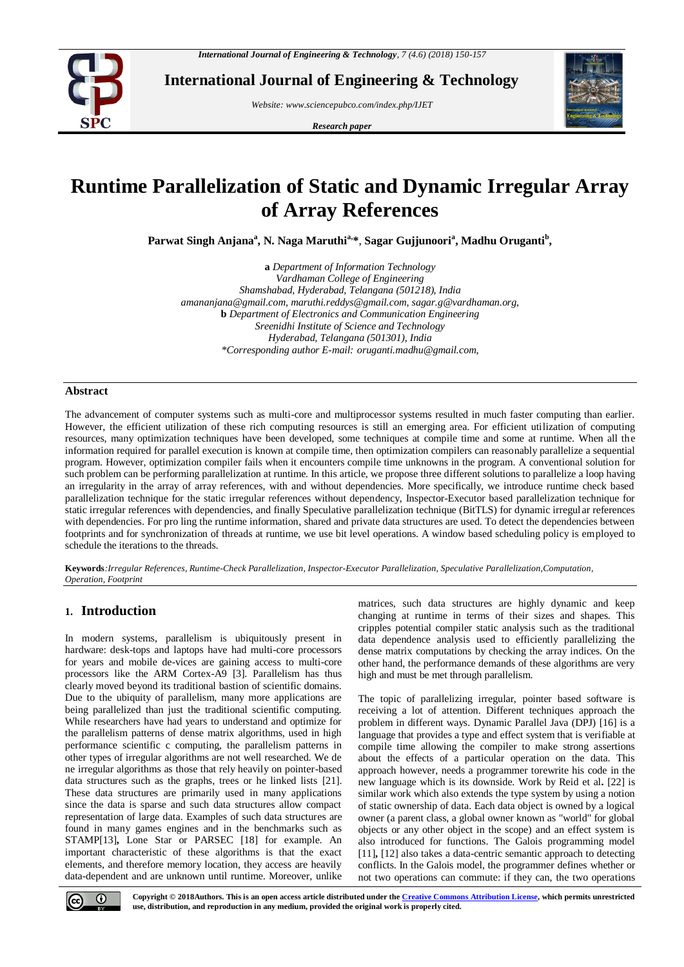

**International Journal of Engineering & Technology**

*Website: [www.sciencepubco.com/index.php/IJET](http://www.sciencepubco.com/index.php/IJET)*

*Research paper*



# **Runtime Parallelization of Static and Dynamic Irregular Array of Array References**

Parwat Singh Anjana<sup>a</sup>, N. Naga Maruthi<sup>a,\*</sup>, Sagar Gujjunoori<sup>a</sup>, Madhu Oruganti<sup>b</sup>,

**a** *Department of Information Technology Vardhaman College of Engineering Shamshabad, Hyderabad, Telangana (501218), India [amananjana@gmail.com,](mailto:amananjana@gmail.com) [maruthi.reddys@gmail.com,](mailto:maruthi.reddys@gmail.com) [sagar.g@vardhaman.org,](mailto:sagar.g@vardhaman.org*)* **b** *Department of Electronics and Communication Engineering Sreenidhi Institute of Science and Technology Hyderabad, Telangana (501301), India \*Corresponding author E-mail: oruganti.madhu@gmail.com,*

## **Abstract**

The advancement of computer systems such as multi-core and multiprocessor systems resulted in much faster computing than earlier. However, the efficient utilization of these rich computing resources is still an emerging area. For efficient utilization of computing resources, many optimization techniques have been developed, some techniques at compile time and some at runtime. When all the information required for parallel execution is known at compile time, then optimization compilers can reasonably parallelize a sequential program. However, optimization compiler fails when it encounters compile time unknowns in the program. A conventional solution for such problem can be performing parallelization at runtime. In this article, we propose three different solutions to parallelize a loop having an irregularity in the array of array references, with and without dependencies. More specifically, we introduce runtime check based parallelization technique for the static irregular references without dependency, Inspector-Executor based parallelization technique for static irregular references with dependencies, and finally Speculative parallelization technique (BitTLS) for dynamic irregul ar references with dependencies. For pro ling the runtime information, shared and private data structures are used. To detect the dependencies between footprints and for synchronization of threads at runtime, we use bit level operations. A window based scheduling policy is employed to schedule the iterations to the threads.

**Keywords***:Irregular References, Runtime-Check Parallelization, Inspector-Executor Parallelization, Speculative Parallelization,Computation, Operation, Footprint*

# **1. Introduction**

In modern systems, parallelism is ubiquitously present in hardware: desk-tops and laptops have had multi-core processors for years and mobile de-vices are gaining access to multi-core processors like the ARM Cortex-A9 [3]. Parallelism has thus clearly moved beyond its traditional bastion of scientific domains. Due to the ubiquity of parallelism, many more applications are being parallelized than just the traditional scientific computing. While researchers have had years to understand and optimize for the parallelism patterns of dense matrix algorithms, used in high performance scientific c computing, the parallelism patterns in other types of irregular algorithms are not well researched. We de ne irregular algorithms as those that rely heavily on pointer-based data structures such as the graphs, trees or he linked lists [21]. These data structures are primarily used in many applications since the data is sparse and such data structures allow compact representation of large data. Examples of such data structures are found in many games engines and in the benchmarks such as STAMP[13]**,** Lone Star or PARSEC [18] for example. An important characteristic of these algorithms is that the exact elements, and therefore memory location, they access are heavily data-dependent and are unknown until runtime. Moreover, unlike

matrices, such data structures are highly dynamic and keep changing at runtime in terms of their sizes and shapes. This cripples potential compiler static analysis such as the traditional data dependence analysis used to efficiently parallelizing the dense matrix computations by checking the array indices. On the other hand, the performance demands of these algorithms are very high and must be met through parallelism.

The topic of parallelizing irregular, pointer based software is receiving a lot of attention. Different techniques approach the problem in different ways. Dynamic Parallel Java (DPJ) [16] is a language that provides a type and effect system that is verifiable at compile time allowing the compiler to make strong assertions about the effects of a particular operation on the data. This approach however, needs a programmer torewrite his code in the new language which is its downside. Work by Reid et al**.** [22] is similar work which also extends the type system by using a notion of static ownership of data. Each data object is owned by a logical owner (a parent class, a global owner known as "world" for global objects or any other object in the scope) and an effect system is also introduced for functions. The Galois programming model [11]**,** [12] also takes a data-centric semantic approach to detecting conflicts. In the Galois model, the programmer defines whether or not two operations can commute: if they can, the two operations



**Copyright © 2018Authors. This is an open access article distributed under th[e Creative Commons Attribution License,](http://creativecommons.org/licenses/by/3.0/) which permits unrestricted use, distribution, and reproduction in any medium, provided the original work is properly cited.**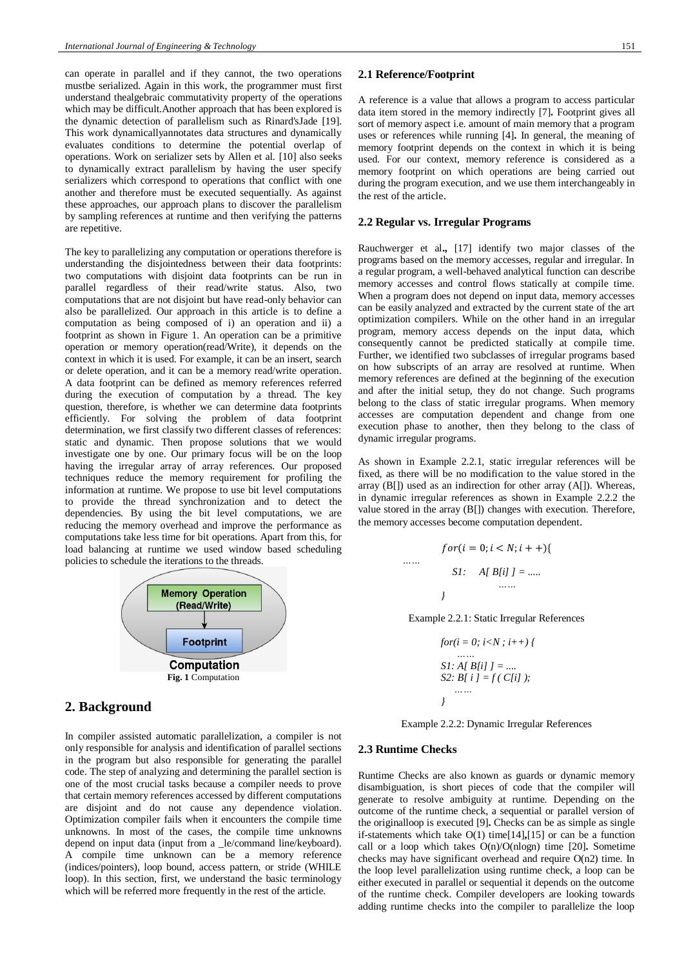can operate in parallel and if they cannot, the two operations mustbe serialized. Again in this work, the programmer must first understand thealgebraic commutativity property of the operations which may be difficult.Another approach that has been explored is the dynamic detection of parallelism such as Rinard'sJade [19]. This work dynamicallyannotates data structures and dynamically evaluates conditions to determine the potential overlap of operations. Work on serializer sets by Allen et al. [10] also seeks to dynamically extract parallelism by having the user specify serializers which correspond to operations that conflict with one another and therefore must be executed sequentially. As against these approaches, our approach plans to discover the parallelism by sampling references at runtime and then verifying the patterns are repetitive.

The key to parallelizing any computation or operations therefore is understanding the disjointedness between their data footprints: two computations with disjoint data footprints can be run in parallel regardless of their read/write status. Also, two computations that are not disjoint but have read-only behavior can also be parallelized. Our approach in this article is to define a computation as being composed of i) an operation and ii) a footprint as shown in Figure 1. An operation can be a primitive operation or memory operation(read/Write), it depends on the context in which it is used. For example, it can be an insert, search or delete operation, and it can be a memory read/write operation. A data footprint can be defined as memory references referred during the execution of computation by a thread. The key question, therefore, is whether we can determine data footprints efficiently. For solving the problem of data footprint determination, we first classify two different classes of references: static and dynamic. Then propose solutions that we would investigate one by one. Our primary focus will be on the loop having the irregular array of array references. Our proposed techniques reduce the memory requirement for profiling the information at runtime. We propose to use bit level computations to provide the thread synchronization and to detect the dependencies. By using the bit level computations, we are reducing the memory overhead and improve the performance as computations take less time for bit operations. Apart from this, for load balancing at runtime we used window based scheduling policies to schedule the iterations to the threads.



# **2. Background**

In compiler assisted automatic parallelization, a compiler is not only responsible for analysis and identification of parallel sections in the program but also responsible for generating the parallel code. The step of analyzing and determining the parallel section is one of the most crucial tasks because a compiler needs to prove that certain memory references accessed by different computations are disjoint and do not cause any dependence violation. Optimization compiler fails when it encounters the compile time unknowns. In most of the cases, the compile time unknowns depend on input data (input from a \_le/command line/keyboard). A compile time unknown can be a memory reference (indices/pointers), loop bound, access pattern, or stride (WHILE loop). In this section, first, we understand the basic terminology which will be referred more frequently in the rest of the article.

## **2.1 Reference/Footprint**

A reference is a value that allows a program to access particular data item stored in the memory indirectly [7]**.** Footprint gives all sort of memory aspect i.e. amount of main memory that a program uses or references while running [4]**.** In general, the meaning of memory footprint depends on the context in which it is being used. For our context, memory reference is considered as a memory footprint on which operations are being carried out during the program execution, and we use them interchangeably in the rest of the article.

## **2.2 Regular vs. Irregular Programs**

Rauchwerger et al**.,** [17] identify two major classes of the programs based on the memory accesses, regular and irregular. In a regular program, a well-behaved analytical function can describe memory accesses and control flows statically at compile time. When a program does not depend on input data, memory accesses can be easily analyzed and extracted by the current state of the art optimization compilers. While on the other hand in an irregular program, memory access depends on the input data, which consequently cannot be predicted statically at compile time. Further, we identified two subclasses of irregular programs based on how subscripts of an array are resolved at runtime. When memory references are defined at the beginning of the execution and after the initial setup, they do not change. Such programs belong to the class of static irregular programs. When memory accesses are computation dependent and change from one execution phase to another, then they belong to the class of dynamic irregular programs.

As shown in Example 2.2.1, static irregular references will be fixed, as there will be no modification to the value stored in the array (B[]) used as an indirection for other array (A[]). Whereas, in dynamic irregular references as shown in Example 2.2.2 the value stored in the array (B[]) changes with execution. Therefore, the memory accesses become computation dependent.

$$
for (i = 0; i < N; i++)\{
$$
  
....  
*SI: A[ B[i] J = ......*  
...

Example 2.2.1: Static Irregular References

*for(i = 0; i<N ; i++) { …… S1: A[ B[i] ] = .... S2: B[ i ] = f ( C[i] ); …… }*

Example 2.2.2: Dynamic Irregular References

#### **2.3 Runtime Checks**

 *……*

Runtime Checks are also known as guards or dynamic memory disambiguation, is short pieces of code that the compiler will generate to resolve ambiguity at runtime. Depending on the outcome of the runtime check, a sequential or parallel version of the originalloop is executed [9]**.** Checks can be as simple as single if-statements which take O(1) time[14]**,**[15] or can be a function call or a loop which takes O(n)/O(nlogn) time [20]**.** Sometime checks may have significant overhead and require O(n2) time. In the loop level parallelization using runtime check, a loop can be either executed in parallel or sequential it depends on the outcome of the runtime check. Compiler developers are looking towards adding runtime checks into the compiler to parallelize the loop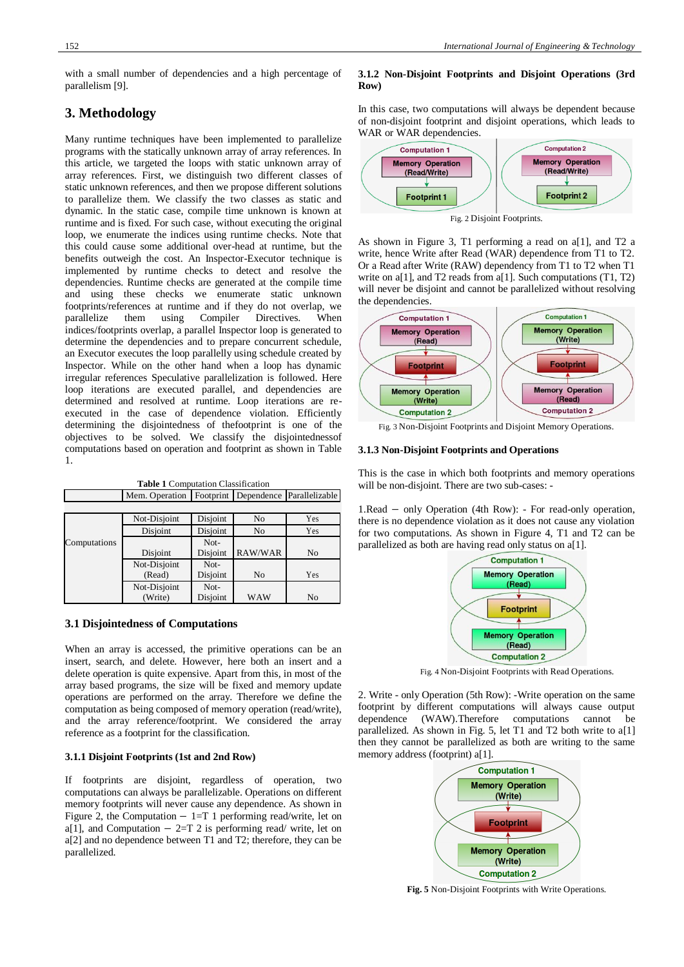with a small number of dependencies and a high percentage of parallelism [9].

# **3. Methodology**

Many runtime techniques have been implemented to parallelize programs with the statically unknown array of array references. In this article, we targeted the loops with static unknown array of array references. First, we distinguish two different classes of static unknown references, and then we propose different solutions to parallelize them. We classify the two classes as static and dynamic. In the static case, compile time unknown is known at runtime and is fixed. For such case, without executing the original loop, we enumerate the indices using runtime checks. Note that this could cause some additional over-head at runtime, but the benefits outweigh the cost. An Inspector-Executor technique is implemented by runtime checks to detect and resolve the dependencies. Runtime checks are generated at the compile time and using these checks we enumerate static unknown footprints/references at runtime and if they do not overlap, we parallelize them using Compiler Directives. When indices/footprints overlap, a parallel Inspector loop is generated to determine the dependencies and to prepare concurrent schedule, an Executor executes the loop parallelly using schedule created by Inspector. While on the other hand when a loop has dynamic irregular references Speculative parallelization is followed. Here loop iterations are executed parallel, and dependencies are determined and resolved at runtime. Loop iterations are reexecuted in the case of dependence violation. Efficiently determining the disjointedness of thefootprint is one of the objectives to be solved. We classify the disjointednessof computations based on operation and footprint as shown in Table 1.

| <b>Table 1 Computation Classification</b> |  |  |  |  |  |  |                                                          |  |  |
|-------------------------------------------|--|--|--|--|--|--|----------------------------------------------------------|--|--|
|                                           |  |  |  |  |  |  | Mem. Operation   Footprint   Dependence   Parallelizable |  |  |

|              | Not-Disjoint | Disjoint | N <sub>0</sub> | Yes |
|--------------|--------------|----------|----------------|-----|
|              | Disjoint     | Disjoint | N <sub>0</sub> | Yes |
| Computations |              | Not-     |                |     |
|              | Disjoint     | Disjoint | RAW/WAR        | No  |
|              | Not-Disjoint | Not-     |                |     |
|              | (Read)       | Disjoint | N <sub>0</sub> | Yes |
|              | Not-Disjoint | Not-     |                |     |
|              | (Write)      | Disjoint | <b>WAW</b>     | No  |

# **3.1 Disjointedness of Computations**

When an array is accessed, the primitive operations can be an insert, search, and delete. However, here both an insert and a delete operation is quite expensive. Apart from this, in most of the array based programs, the size will be fixed and memory update operations are performed on the array. Therefore we define the computation as being composed of memory operation (read/write), and the array reference/footprint. We considered the array reference as a footprint for the classification.

#### **3.1.1 Disjoint Footprints (1st and 2nd Row)**

If footprints are disjoint, regardless of operation, two computations can always be parallelizable. Operations on different memory footprints will never cause any dependence. As shown in Figure 2, the Computation  $-1=T1$  performing read/write, let on a[1], and Computation  $-2=T$  2 is performing read/ write, let on a[2] and no dependence between T1 and T2; therefore, they can be parallelized.

# **3.1.2 Non-Disjoint Footprints and Disjoint Operations (3rd Row)**

In this case, two computations will always be dependent because of non-disjoint footprint and disjoint operations, which leads to WAR or WAR dependencies.



Fig. 2 Disjoint Footprints.

As shown in Figure 3, T1 performing a read on a[1], and T2 a write, hence Write after Read (WAR) dependence from T1 to T2. Or a Read after Write (RAW) dependency from T1 to T2 when T1 write on a[1], and  $T2$  reads from a[1]. Such computations  $(T1, T2)$ will never be disjoint and cannot be parallelized without resolving the dependencies.



Fig. 3 Non-Disjoint Footprints and Disjoint Memory Operations.

## **3.1.3 Non-Disjoint Footprints and Operations**

This is the case in which both footprints and memory operations will be non-disjoint. There are two sub-cases: -

1.Read − only Operation (4th Row): - For read-only operation, there is no dependence violation as it does not cause any violation for two computations. As shown in Figure 4, T1 and T2 can be parallelized as both are having read only status on a[1].



Fig. 4 Non-Disjoint Footprints with Read Operations.

2. Write - only Operation (5th Row): -Write operation on the same footprint by different computations will always cause output dependence (WAW).Therefore computations cannot be parallelized. As shown in Fig. 5, let T1 and T2 both write to a[1] then they cannot be parallelized as both are writing to the same memory address (footprint) a[1].



**Fig. 5** Non-Disjoint Footprints with Write Operations.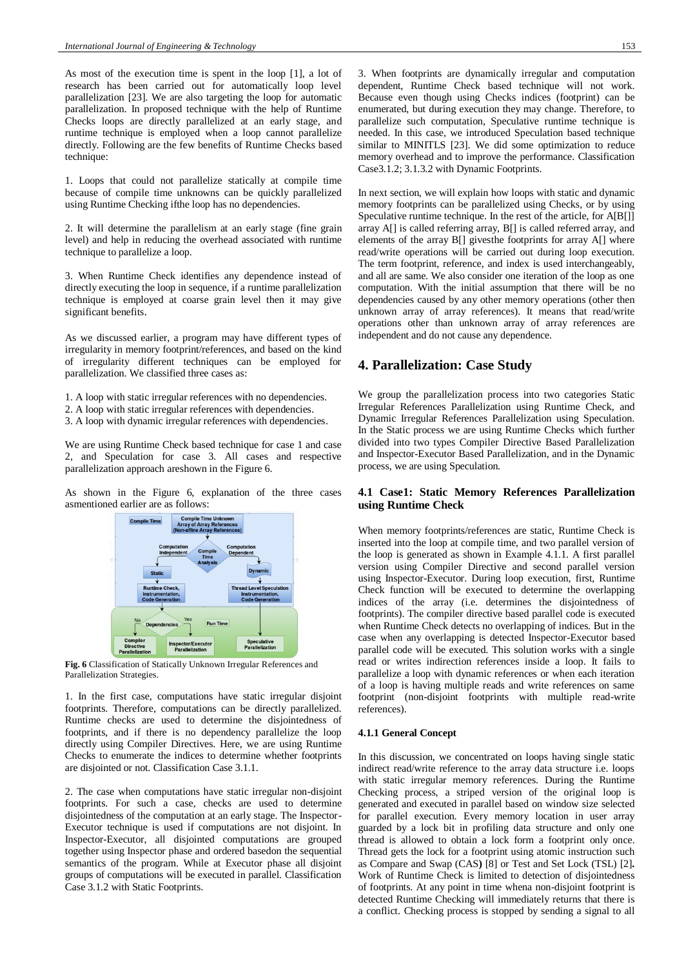As most of the execution time is spent in the loop [1], a lot of research has been carried out for automatically loop level parallelization [23]. We are also targeting the loop for automatic parallelization. In proposed technique with the help of Runtime Checks loops are directly parallelized at an early stage, and runtime technique is employed when a loop cannot parallelize directly. Following are the few benefits of Runtime Checks based technique:

1. Loops that could not parallelize statically at compile time because of compile time unknowns can be quickly parallelized using Runtime Checking if the loop has no dependencies.

2. It will determine the parallelism at an early stage (fine grain level) and help in reducing the overhead associated with runtime technique to parallelize a loop.

3. When Runtime Check identifies any dependence instead of directly executing the loop in sequence, if a runtime parallelization technique is employed at coarse grain level then it may give significant benefits.

As we discussed earlier, a program may have different types of irregularity in memory footprint/references, and based on the kind of irregularity different techniques can be employed for parallelization. We classified three cases as:

- 1. A loop with static irregular references with no dependencies.
- 2. A loop with static irregular references with dependencies.
- 3. A loop with dynamic irregular references with dependencies.

We are using Runtime Check based technique for case 1 and case 2, and Speculation for case 3. All cases and respective parallelization approach areshown in the Figure 6.

As shown in the Figure 6, explanation of the three cases asmentioned earlier are as follows:



**Fig. 6** Classification of Statically Unknown Irregular References and Parallelization Strategies.

1. In the first case, computations have static irregular disjoint footprints. Therefore, computations can be directly parallelized. Runtime checks are used to determine the disjointedness of footprints, and if there is no dependency parallelize the loop directly using Compiler Directives. Here, we are using Runtime Checks to enumerate the indices to determine whether footprints are disjointed or not. Classification Case 3.1.1.

2. The case when computations have static irregular non-disjoint footprints. For such a case, checks are used to determine disjointedness of the computation at an early stage. The Inspector-Executor technique is used if computations are not disjoint. In Inspector-Executor, all disjointed computations are grouped together using Inspector phase and ordered basedon the sequential semantics of the program. While at Executor phase all disjoint groups of computations will be executed in parallel. Classification Case 3.1.2 with Static Footprints.

3. When footprints are dynamically irregular and computation dependent, Runtime Check based technique will not work. Because even though using Checks indices (footprint) can be enumerated, but during execution they may change. Therefore, to parallelize such computation, Speculative runtime technique is needed. In this case, we introduced Speculation based technique similar to MINITLS [23]. We did some optimization to reduce memory overhead and to improve the performance. Classification Case3.1.2; 3.1.3.2 with Dynamic Footprints.

In next section, we will explain how loops with static and dynamic memory footprints can be parallelized using Checks, or by using Speculative runtime technique. In the rest of the article, for A[B[]] array A[] is called referring array, B[] is called referred array, and elements of the array B[] givesthe footprints for array A[] where read/write operations will be carried out during loop execution. The term footprint, reference, and index is used interchangeably, and all are same. We also consider one iteration of the loop as one computation. With the initial assumption that there will be no dependencies caused by any other memory operations (other then unknown array of array references). It means that read/write operations other than unknown array of array references are independent and do not cause any dependence.

# **4. Parallelization: Case Study**

We group the parallelization process into two categories Static Irregular References Parallelization using Runtime Check, and Dynamic Irregular References Parallelization using Speculation. In the Static process we are using Runtime Checks which further divided into two types Compiler Directive Based Parallelization and Inspector-Executor Based Parallelization, and in the Dynamic process, we are using Speculation.

# **4.1 Case1: Static Memory References Parallelization using Runtime Check**

When memory footprints/references are static, Runtime Check is inserted into the loop at compile time, and two parallel version of the loop is generated as shown in Example 4.1.1. A first parallel version using Compiler Directive and second parallel version using Inspector-Executor. During loop execution, first, Runtime Check function will be executed to determine the overlapping indices of the array (i.e. determines the disjointedness of footprints). The compiler directive based parallel code is executed when Runtime Check detects no overlapping of indices. But in the case when any overlapping is detected Inspector-Executor based parallel code will be executed. This solution works with a single read or writes indirection references inside a loop. It fails to parallelize a loop with dynamic references or when each iteration of a loop is having multiple reads and write references on same footprint (non-disjoint footprints with multiple read-write references).

## **4.1.1 General Concept**

In this discussion, we concentrated on loops having single static indirect read/write reference to the array data structure i.e. loops with static irregular memory references. During the Runtime Checking process, a striped version of the original loop is generated and executed in parallel based on window size selected for parallel execution. Every memory location in user array guarded by a lock bit in profiling data structure and only one thread is allowed to obtain a lock form a footprint only once. Thread gets the lock for a footprint using atomic instruction such as Compare and Swap (CAS**)** [8] or Test and Set Lock (TSL) [2]**.** Work of Runtime Check is limited to detection of disjointedness of footprints. At any point in time whena non-disjoint footprint is detected Runtime Checking will immediately returns that there is a conflict. Checking process is stopped by sending a signal to all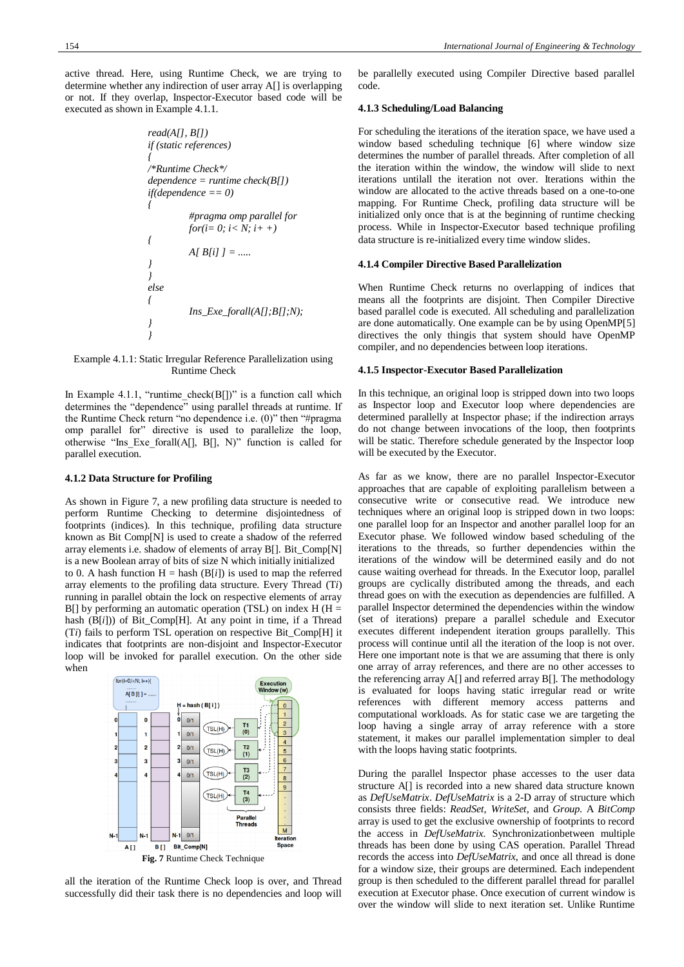active thread. Here, using Runtime Check, we are trying to determine whether any indirection of user array A[] is overlapping or not. If they overlap, Inspector-Executor based code will be executed as shown in Example 4.1.1.

> *read(A[], B[]) if (static references) { /\*Runtime Check\*/ dependence = runtime check(B[]) if(dependence == 0) { #pragma omp parallel for for(i= 0; i< N; i+ +) { A[ B[i] ] = ..... } } else { Ins\_Exe\_forall(A[];B[];N); } }*

#### Example 4.1.1: Static Irregular Reference Parallelization using Runtime Check

In Example 4.1.1, "runtime\_check( $B[]$ )" is a function call which determines the "dependence" using parallel threads at runtime. If the Runtime Check return "no dependence i.e. (0)" then "#pragma omp parallel for" directive is used to parallelize the loop, otherwise "Ins\_Exe\_forall(A[], B[], N)" function is called for parallel execution.

#### **4.1.2 Data Structure for Profiling**

As shown in Figure 7, a new profiling data structure is needed to perform Runtime Checking to determine disjointedness of footprints (indices). In this technique, profiling data structure known as Bit Comp[N] is used to create a shadow of the referred array elements i.e. shadow of elements of array B[]. Bit\_Comp[N] is a new Boolean array of bits of size N which initially initialized to 0. A hash function  $H =$  hash ( $B[i]$ ) is used to map the referred array elements to the profiling data structure. Every Thread (T*i*) running in parallel obtain the lock on respective elements of array B[] by performing an automatic operation (TSL) on index  $H(H =$ hash (B[*i*])) of Bit\_Comp[H]. At any point in time, if a Thread (T*i*) fails to perform TSL operation on respective Bit\_Comp[H] it indicates that footprints are non-disjoint and Inspector-Executor loop will be invoked for parallel execution. On the other side when



all the iteration of the Runtime Check loop is over, and Thread successfully did their task there is no dependencies and loop will be parallelly executed using Compiler Directive based parallel code.

#### **4.1.3 Scheduling/Load Balancing**

For scheduling the iterations of the iteration space, we have used a window based scheduling technique [6] where window size determines the number of parallel threads. After completion of all the iteration within the window, the window will slide to next iterations untilall the iteration not over. Iterations within the window are allocated to the active threads based on a one-to-one mapping. For Runtime Check, profiling data structure will be initialized only once that is at the beginning of runtime checking process. While in Inspector-Executor based technique profiling data structure is re-initialized every time window slides.

#### **4.1.4 Compiler Directive Based Parallelization**

When Runtime Check returns no overlapping of indices that means all the footprints are disjoint. Then Compiler Directive based parallel code is executed. All scheduling and parallelization are done automatically. One example can be by using OpenMP[5] directives the only thingis that system should have OpenMP compiler, and no dependencies between loop iterations.

#### **4.1.5 Inspector-Executor Based Parallelization**

In this technique, an original loop is stripped down into two loops as Inspector loop and Executor loop where dependencies are determined parallelly at Inspector phase; if the indirection arrays do not change between invocations of the loop, then footprints will be static. Therefore schedule generated by the Inspector loop will be executed by the Executor.

As far as we know, there are no parallel Inspector-Executor approaches that are capable of exploiting parallelism between a consecutive write or consecutive read. We introduce new techniques where an original loop is stripped down in two loops: one parallel loop for an Inspector and another parallel loop for an Executor phase. We followed window based scheduling of the iterations to the threads, so further dependencies within the iterations of the window will be determined easily and do not cause waiting overhead for threads. In the Executor loop, parallel groups are cyclically distributed among the threads, and each thread goes on with the execution as dependencies are fulfilled. A parallel Inspector determined the dependencies within the window (set of iterations) prepare a parallel schedule and Executor executes different independent iteration groups parallelly. This process will continue until all the iteration of the loop is not over. Here one important note is that we are assuming that there is only one array of array references, and there are no other accesses to the referencing array A[] and referred array B[]. The methodology is evaluated for loops having static irregular read or write references with different memory access patterns and computational workloads. As for static case we are targeting the loop having a single array of array reference with a store statement, it makes our parallel implementation simpler to deal with the loops having static footprints.

During the parallel Inspector phase accesses to the user data structure A[] is recorded into a new shared data structure known as *DefUseMatrix*. *DefUseMatrix* is a 2-D array of structure which consists three fields: *ReadSet, WriteSet,* and *Group*. A *BitComp* array is used to get the exclusive ownership of footprints to record the access in *DefUseMatrix.* Synchronizationbetween multiple threads has been done by using CAS operation. Parallel Thread records the access into *DefUseMatrix*, and once all thread is done for a window size, their groups are determined. Each independent group is then scheduled to the different parallel thread for parallel execution at Executor phase. Once execution of current window is over the window will slide to next iteration set. Unlike Runtime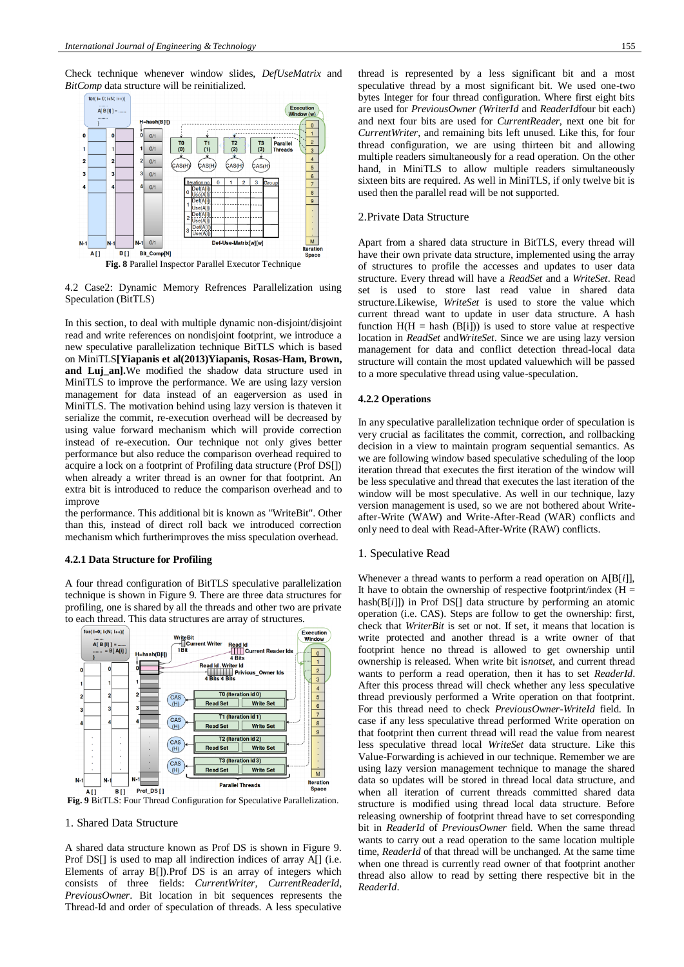Check technique whenever window slides, *DefUseMatrix* and *BitComp* data structure will be reinitialized.



4.2 Case2: Dynamic Memory Refrences Parallelization using Speculation (BitTLS)

In this section, to deal with multiple dynamic non-disjoint/disjoint read and write references on nondisjoint footprint, we introduce a new speculative parallelization technique BitTLS which is based on MiniTLS**[Yiapanis et al(2013)Yiapanis, Rosas-Ham, Brown, and Luj\_an].**We modified the shadow data structure used in MiniTLS to improve the performance. We are using lazy version management for data instead of an eagerversion as used in MiniTLS. The motivation behind using lazy version is thateven it serialize the commit, re-execution overhead will be decreased by using value forward mechanism which will provide correction instead of re-execution. Our technique not only gives better performance but also reduce the comparison overhead required to acquire a lock on a footprint of Profiling data structure (Prof DS[]) when already a writer thread is an owner for that footprint. An extra bit is introduced to reduce the comparison overhead and to improve

the performance. This additional bit is known as "WriteBit". Other than this, instead of direct roll back we introduced correction mechanism which furtherimproves the miss speculation overhead.

#### **4.2.1 Data Structure for Profiling**

A four thread configuration of BitTLS speculative parallelization technique is shown in Figure 9. There are three data structures for profiling, one is shared by all the threads and other two are private to each thread. This data structures are array of structures.



**Fig. 9** BitTLS: Four Thread Configuration for Speculative Parallelization.

## 1. Shared Data Structure

A shared data structure known as Prof DS is shown in Figure 9. Prof DS[] is used to map all indirection indices of array A[] (i.e. Elements of array B[]).Prof DS is an array of integers which consists of three fields: *CurrentWriter, CurrentReaderId, PreviousOwner*. Bit location in bit sequences represents the Thread-Id and order of speculation of threads. A less speculative thread is represented by a less significant bit and a most speculative thread by a most significant bit. We used one-two bytes Integer for four thread configuration. Where first eight bits are used for *PreviousOwner (WriterId* and *ReaderId*four bit each) and next four bits are used for *CurrentReader*, next one bit for *CurrentWriter*, and remaining bits left unused. Like this, for four thread configuration, we are using thirteen bit and allowing multiple readers simultaneously for a read operation. On the other hand, in MiniTLS to allow multiple readers simultaneously sixteen bits are required. As well in MiniTLS, if only twelve bit is used then the parallel read will be not supported.

# 2.Private Data Structure

Apart from a shared data structure in BitTLS, every thread will have their own private data structure, implemented using the array of structures to profile the accesses and updates to user data structure. Every thread will have a *ReadSet* and a *WriteSet*. Read set is used to store last read value in shared data structure.Likewise*, WriteSet* is used to store the value which current thread want to update in user data structure. A hash function  $H(H = hash (B[i]))$  is used to store value at respective location in *ReadSet* and*WriteSet*. Since we are using lazy version management for data and conflict detection thread-local data structure will contain the most updated valuewhich will be passed to a more speculative thread using value-speculation.

#### **4.2.2 Operations**

In any speculative parallelization technique order of speculation is very crucial as facilitates the commit, correction, and rollbacking decision in a view to maintain program sequential semantics. As we are following window based speculative scheduling of the loop iteration thread that executes the first iteration of the window will be less speculative and thread that executes the last iteration of the window will be most speculative. As well in our technique, lazy version management is used, so we are not bothered about Writeafter-Write (WAW) and Write-After-Read (WAR) conflicts and only need to deal with Read-After-Write (RAW) conflicts.

#### 1. Speculative Read

Whenever a thread wants to perform a read operation on A[B[*i*]], It have to obtain the ownership of respective footprint/index  $(H =$ hash(B[*i*]]) in Prof DS[] data structure by performing an atomic operation (i.e. CAS). Steps are follow to get the ownership: first, check that *WriterBit* is set or not. If set, it means that location is write protected and another thread is a write owner of that footprint hence no thread is allowed to get ownership until ownership is released. When write bit is*notset*, and current thread wants to perform a read operation, then it has to set *ReaderId*. After this process thread will check whether any less speculative thread previously performed a Write operation on that footprint. For this thread need to check *PreviousOwner-WriteId* field. In case if any less speculative thread performed Write operation on that footprint then current thread will read the value from nearest less speculative thread local *WriteSet* data structure. Like this Value-Forwarding is achieved in our technique. Remember we are using lazy version management technique to manage the shared data so updates will be stored in thread local data structure, and when all iteration of current threads committed shared data structure is modified using thread local data structure. Before releasing ownership of footprint thread have to set corresponding bit in *ReaderId* of *PreviousOwner* field. When the same thread wants to carry out a read operation to the same location multiple time, *ReaderId* of that thread will be unchanged. At the same time when one thread is currently read owner of that footprint another thread also allow to read by setting there respective bit in the *ReaderId*.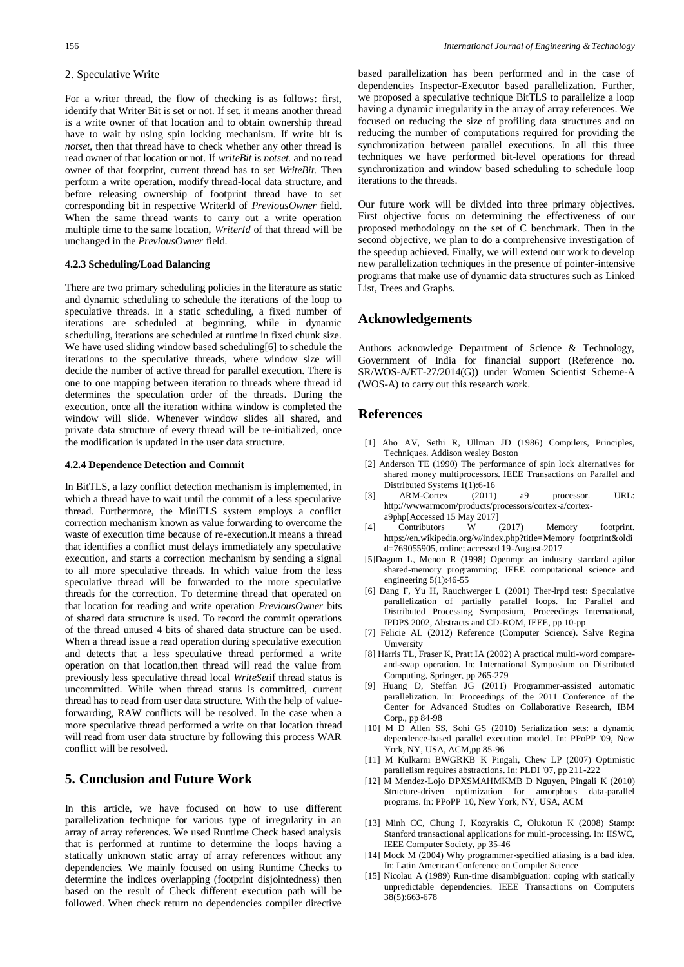# 2. Speculative Write

For a writer thread, the flow of checking is as follows: first, identify that Writer Bit is set or not. If set, it means another thread is a write owner of that location and to obtain ownership thread have to wait by using spin locking mechanism. If write bit is *notset*, then that thread have to check whether any other thread is read owner of that location or not. If *writeBit* is *notset.* and no read owner of that footprint, current thread has to set *WriteBit*. Then perform a write operation, modify thread-local data structure, and before releasing ownership of footprint thread have to set corresponding bit in respective WriterId of *PreviousOwner* field. When the same thread wants to carry out a write operation multiple time to the same location, *WriterId* of that thread will be unchanged in the *PreviousOwner* field.

#### **4.2.3 Scheduling/Load Balancing**

There are two primary scheduling policies in the literature as static and dynamic scheduling to schedule the iterations of the loop to speculative threads. In a static scheduling, a fixed number of iterations are scheduled at beginning, while in dynamic scheduling, iterations are scheduled at runtime in fixed chunk size. We have used sliding window based scheduling[6] to schedule the iterations to the speculative threads, where window size will decide the number of active thread for parallel execution. There is one to one mapping between iteration to threads where thread id determines the speculation order of the threads. During the execution, once all the iteration withina window is completed the window will slide. Whenever window slides all shared, and private data structure of every thread will be re-initialized, once the modification is updated in the user data structure.

#### **4.2.4 Dependence Detection and Commit**

In BitTLS, a lazy conflict detection mechanism is implemented, in which a thread have to wait until the commit of a less speculative thread. Furthermore, the MiniTLS system employs a conflict correction mechanism known as value forwarding to overcome the waste of execution time because of re-execution.It means a thread that identifies a conflict must delays immediately any speculative execution, and starts a correction mechanism by sending a signal to all more speculative threads. In which value from the less speculative thread will be forwarded to the more speculative threads for the correction. To determine thread that operated on that location for reading and write operation *PreviousOwner* bits of shared data structure is used. To record the commit operations of the thread unused 4 bits of shared data structure can be used. When a thread issue a read operation during speculative execution and detects that a less speculative thread performed a write operation on that location,then thread will read the value from previously less speculative thread local *WriteSet*if thread status is uncommitted. While when thread status is committed, current thread has to read from user data structure. With the help of valueforwarding, RAW conflicts will be resolved. In the case when a more speculative thread performed a write on that location thread will read from user data structure by following this process WAR conflict will be resolved.

# **5. Conclusion and Future Work**

In this article, we have focused on how to use different parallelization technique for various type of irregularity in an array of array references. We used Runtime Check based analysis that is performed at runtime to determine the loops having a statically unknown static array of array references without any dependencies. We mainly focused on using Runtime Checks to determine the indices overlapping (footprint disjointedness) then based on the result of Check different execution path will be followed. When check return no dependencies compiler directive

based parallelization has been performed and in the case of dependencies Inspector-Executor based parallelization. Further, we proposed a speculative technique BitTLS to parallelize a loop having a dynamic irregularity in the array of array references. We focused on reducing the size of profiling data structures and on reducing the number of computations required for providing the synchronization between parallel executions. In all this three techniques we have performed bit-level operations for thread synchronization and window based scheduling to schedule loop iterations to the threads.

Our future work will be divided into three primary objectives. First objective focus on determining the effectiveness of our proposed methodology on the set of C benchmark. Then in the second objective, we plan to do a comprehensive investigation of the speedup achieved. Finally, we will extend our work to develop new parallelization techniques in the presence of pointer-intensive programs that make use of dynamic data structures such as Linked List, Trees and Graphs.

# **Acknowledgements**

Authors acknowledge Department of Science & Technology, Government of India for financial support (Reference no. SR/WOS-A/ET-27/2014(G)) under Women Scientist Scheme-A (WOS-A) to carry out this research work.

## **References**

- [1] Aho AV, Sethi R, Ullman JD (1986) Compilers, Principles, Techniques. Addison wesley Boston
- [2] Anderson TE (1990) The performance of spin lock alternatives for shared money multiprocessors. IEEE Transactions on Parallel and Distributed Systems 1(1):6-16
- [3] ARM-Cortex (2011) a9 processor. URL: [http://wwwarmcom/products/processors/cortex-a/cortex](http://wwwarmcom/products/processors/cortex-a/cortex-a9php)[a9php\[](http://wwwarmcom/products/processors/cortex-a/cortex-a9php)Accessed 15 May 2017]
- [4] Contributors W (2017) Memory footprint. https://en.wikipedia.org/w/index.php?title=Memory\_footprint&oldi d=769055905, online; accessed 19-August-2017
- [5]Dagum L, Menon R (1998) Openmp: an industry standard apifor shared-memory programming. IEEE computational science and engineering  $5(1)$ :46-55
- [6] Dang F, Yu H, Rauchwerger L (2001) Ther-lrpd test: Speculative parallelization of partially parallel loops. In: Parallel and Distributed Processing Symposium, Proceedings International, IPDPS 2002, Abstracts and CD-ROM, IEEE, pp 10-pp
- [7] Felicie AL (2012) Reference (Computer Science). Salve Regina University
- [8] Harris TL, Fraser K, Pratt IA (2002) A practical multi-word compareand-swap operation. In: International Symposium on Distributed Computing, Springer, pp 265-279
- [9] Huang D, Steffan JG (2011) Programmer-assisted automatic parallelization. In: Proceedings of the 2011 Conference of the Center for Advanced Studies on Collaborative Research, IBM Corp., pp 84-98
- [10] M D Allen SS, Sohi GS (2010) Serialization sets: a dynamic dependence-based parallel execution model. In: PPoPP '09, New York, NY, USA, ACM,pp 85-96
- [11] M Kulkarni BWGRKB K Pingali, Chew LP (2007) Optimistic parallelism requires abstractions. In: PLDI '07, pp 211-222
- [12] M Mendez-Lojo DPXSMAHMKMB D Nguyen, Pingali K (2010) Structure-driven optimization for amorphous data-parallel programs. In: PPoPP '10, New York, NY, USA, ACM
- [13] Minh CC, Chung J, Kozyrakis C, Olukotun K (2008) Stamp: Stanford transactional applications for multi-processing. In: IISWC, IEEE Computer Society, pp 35-46
- [14] Mock M (2004) Why programmer-specified aliasing is a bad idea. In: Latin American Conference on Compiler Science
- Nicolau A (1989) Run-time disambiguation: coping with statically unpredictable dependencies. IEEE Transactions on Computers 38(5):663-678